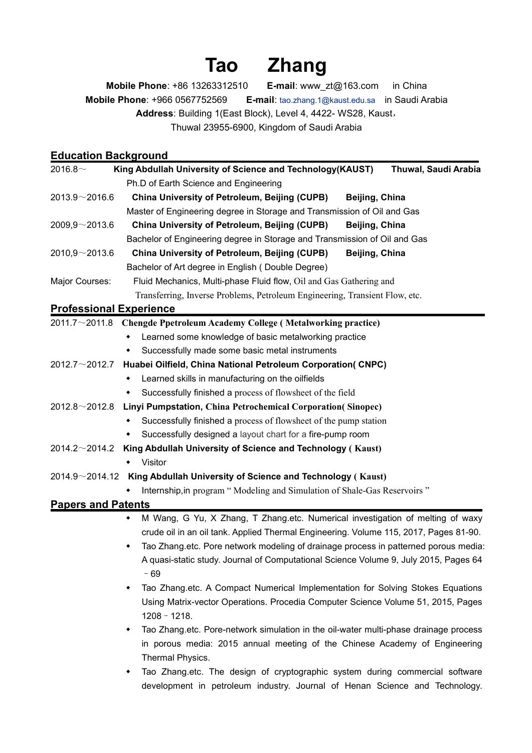## **Tao Zhang**

**Mobile Phone**: +86 13263312510 **E-mail**:www\_zt@163.com in China **Mobile Phone**: +966 0567752569 **E-mail**: [tao.zhang.1@kaust.edu.sa](mailto:tao.zhang.1@kaust.edu.sa) in Saudi Arabia **Address**: Building 1(East Block), Level 4, 4422- WS28, Kaust, Thuwal 23955-6900, Kingdom of Saudi Arabia

## **Education Background**

| 2016.8 $\sim$             | King Abdullah University of Science and Technology(KAUST)<br>Thuwal, Saudi Arabia                  |  |  |
|---------------------------|----------------------------------------------------------------------------------------------------|--|--|
|                           | Ph.D of Earth Science and Engineering                                                              |  |  |
| $2013.9 - 2016.6$         | <b>China University of Petroleum, Beijing (CUPB)</b><br>Beijing, China                             |  |  |
|                           | Master of Engineering degree in Storage and Transmission of Oil and Gas                            |  |  |
| $2009,9 \sim 2013.6$      | China University of Petroleum, Beijing (CUPB)<br>Beijing, China                                    |  |  |
|                           | Bachelor of Engineering degree in Storage and Transmission of Oil and Gas                          |  |  |
| 2010,9~2013.6             | China University of Petroleum, Beijing (CUPB)<br>Beijing, China                                    |  |  |
|                           | Bachelor of Art degree in English (Double Degree)                                                  |  |  |
| Major Courses:            | Fluid Mechanics, Multi-phase Fluid flow, Oil and Gas Gathering and                                 |  |  |
|                           | Transferring, Inverse Problems, Petroleum Engineering, Transient Flow, etc.                        |  |  |
|                           | <b>Professional Experience</b>                                                                     |  |  |
|                           | $2011.7 \sim 2011.8$ Chengde Ppetroleum Academy College (Metalworking practice)                    |  |  |
|                           | Learned some knowledge of basic metalworking practice<br>٠                                         |  |  |
|                           | Successfully made some basic metal instruments                                                     |  |  |
| 2012.7 $\sim$ 2012.7      | Huabei Oilfield, China National Petroleum Corporation(CNPC)                                        |  |  |
|                           | Learned skills in manufacturing on the oilfields                                                   |  |  |
|                           | Successfully finished a process of flowsheet of the field<br>$\bullet$                             |  |  |
| 2012.8 $\sim$ 2012.8      | Linyi Pumpstation, China Petrochemical Corporation (Sinopec)                                       |  |  |
|                           | Successfully finished a process of flowsheet of the pump station                                   |  |  |
|                           | Successfully designed a layout chart for a fire-pump room<br>$\bullet$                             |  |  |
| 2014.2 $\sim$ 2014.2      | King Abdullah University of Science and Technology (Kaust)                                         |  |  |
|                           | • Visitor                                                                                          |  |  |
|                           | 2014.9~2014.12 King Abdullah University of Science and Technology (Kaust)                          |  |  |
|                           | Internship, in program "Modeling and Simulation of Shale-Gas Reservoirs"                           |  |  |
| <b>Papers and Patents</b> |                                                                                                    |  |  |
|                           | M Wang, G Yu, X Zhang, T Zhang.etc. Numerical investigation of melting of waxy                     |  |  |
|                           | crude oil in an oil tank. Applied Thermal Engineering. Volume 115, 2017, Pages 81-90.              |  |  |
|                           | Tao Zhang.etc. Pore network modeling of drainage process in patterned porous media:                |  |  |
|                           | A quasi-static study. Journal of Computational Science Volume 9, July 2015, Pages 64               |  |  |
|                           | $-69$                                                                                              |  |  |
|                           | Tao Zhang.etc. A Compact Numerical Implementation for Solving Stokes Equations                     |  |  |
|                           | Using Matrix-vector Operations. Procedia Computer Science Volume 51, 2015, Pages<br>$1208 - 1218.$ |  |  |
|                           | Tao Zhang.etc. Pore-network simulation in the oil-water multi-phase drainage process               |  |  |
|                           | in porous media: 2015 annual meeting of the Chinese Academy of Engineering                         |  |  |
|                           | Thermal Physics.                                                                                   |  |  |

• Tao Zhang.etc. The design of cryptographic system during commercial software development in petroleum industry. Journal of Henan Science and Technology.